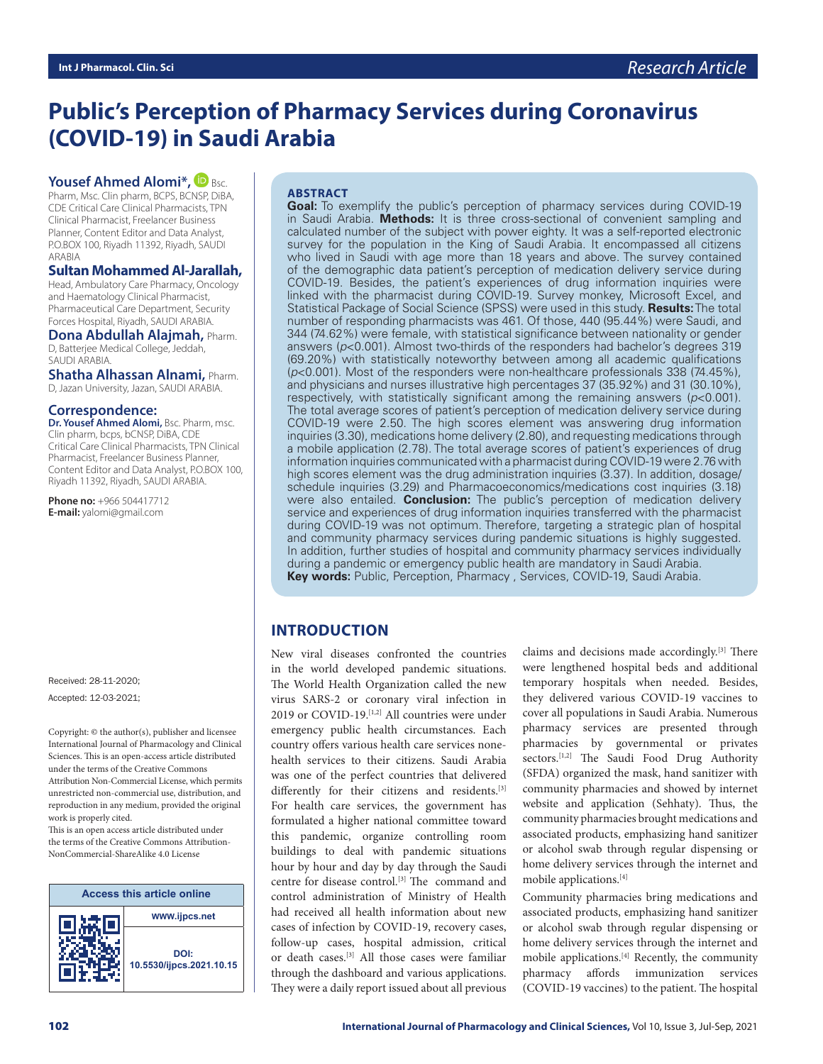# **Public's Perception of Pharmacy Services during Coronavirus (COVID-19) in Saudi Arabia**

#### **Yousef Ahmed Alomi\*, D Bsc.**

Pharm, Msc. Clin pharm, BCPS, BCNSP, DiBA, CDE Critical Care Clinical Pharmacists, TPN Clinical Pharmacist, Freelancer Business Planner, Content Editor and Data Analyst, P.O.BOX 100, Riyadh 11392, Riyadh, SAUDI ARABIA

#### **Sultan Mohammed Al-Jarallah,**

Head, Ambulatory Care Pharmacy, Oncology and Haematology Clinical Pharmacist, Pharmaceutical Care Department, Security Forces Hospital, Riyadh, SAUDI ARABIA.

**Dona Abdullah Alajmah,** Pharm. D, Batterjee Medical College, Jeddah, SAUDI ARABIA.

**Shatha Alhassan Alnami,** Pharm. D, Jazan University, Jazan, SAUDI ARABIA.

#### **Correspondence:**

**Dr. Yousef Ahmed Alomi,** Bsc. Pharm, msc. Clin pharm, bcps, bCNSP, DiBA, CDE Critical Care Clinical Pharmacists, TPN Clinical Pharmacist, Freelancer Business Planner, Content Editor and Data Analyst, P.O.BOX 100, Riyadh 11392, Riyadh, SAUDI ARABIA.

**Phone no:** +966 504417712 **E-mail:** yalomi@gmail.com

Received: 28-11-2020; Accepted: 12-03-2021;

Copyright:  $\circledcirc$  the author(s), publisher and licensee International Journal of Pharmacology and Clinical Sciences. This is an open-access article distributed under the terms of the Creative Commons Attribution Non-Commercial License, which permits unrestricted non-commercial use, distribution, and reproduction in any medium, provided the original work is properly cited.

This is an open access article distributed under the terms of the Creative Commons Attribution-NonCommercial-ShareAlike 4.0 License



#### **ABSTRACT**

**Goal:** To exemplify the public's perception of pharmacy services during COVID-19 in Saudi Arabia. **Methods:** It is three cross-sectional of convenient sampling and calculated number of the subject with power eighty. It was a self-reported electronic survey for the population in the King of Saudi Arabia. It encompassed all citizens who lived in Saudi with age more than 18 years and above. The survey contained of the demographic data patient's perception of medication delivery service during COVID-19. Besides, the patient's experiences of drug information inquiries were linked with the pharmacist during COVID-19. Survey monkey, Microsoft Excel, and Statistical Package of Social Science (SPSS) were used in this study. **Results:** The total number of responding pharmacists was 461. Of those, 440 (95.44%) were Saudi, and 344 (74.62%) were female, with statistical significance between nationality or gender answers (*p*<0.001). Almost two-thirds of the responders had bachelor's degrees 319 (69.20%) with statistically noteworthy between among all academic qualifications (*p*<0.001). Most of the responders were non-healthcare professionals 338 (74.45%), and physicians and nurses illustrative high percentages 37 (35.92%) and 31 (30.10%), respectively, with statistically significant among the remaining answers (*p*<0.001). The total average scores of patient's perception of medication delivery service during COVID-19 were 2.50. The high scores element was answering drug information inquiries (3.30), medications home delivery (2.80), and requesting medications through a mobile application (2.78). The total average scores of patient's experiences of drug information inquiries communicated with a pharmacist during COVID-19 were 2.76 with high scores element was the drug administration inquiries (3.37). In addition, dosage/ schedule inquiries (3.29) and Pharmacoeconomics/medications cost inquiries (3.18) were also entailed. **Conclusion:** The public's perception of medication delivery service and experiences of drug information inquiries transferred with the pharmacist during COVID-19 was not optimum. Therefore, targeting a strategic plan of hospital and community pharmacy services during pandemic situations is highly suggested. In addition, further studies of hospital and community pharmacy services individually during a pandemic or emergency public health are mandatory in Saudi Arabia. **Key words:** Public, Perception, Pharmacy , Services, COVID-19, Saudi Arabia.

# **INTRODUCTION**

New viral diseases confronted the countries in the world developed pandemic situations. The World Health Organization called the new virus SARS-2 or coronary viral infection in 2019 or COVID-19.<sup>[1,2]</sup> All countries were under emergency public health circumstances. Each country offers various health care services nonehealth services to their citizens. Saudi Arabia was one of the perfect countries that delivered differently for their citizens and residents.<sup>[3]</sup> For health care services, the government has formulated a higher national committee toward this pandemic, organize controlling room buildings to deal with pandemic situations hour by hour and day by day through the Saudi centre for disease control.[3] The command and control administration of Ministry of Health had received all health information about new cases of infection by COVID-19, recovery cases, follow-up cases, hospital admission, critical or death cases.[3] All those cases were familiar through the dashboard and various applications. They were a daily report issued about all previous

claims and decisions made accordingly.[3] There were lengthened hospital beds and additional temporary hospitals when needed. Besides, they delivered various COVID-19 vaccines to cover all populations in Saudi Arabia. Numerous pharmacy services are presented through pharmacies by governmental or privates sectors.<sup>[1,2]</sup> The Saudi Food Drug Authority (SFDA) organized the mask, hand sanitizer with community pharmacies and showed by internet website and application (Sehhaty). Thus, the community pharmacies brought medications and associated products, emphasizing hand sanitizer or alcohol swab through regular dispensing or home delivery services through the internet and mobile applications.[4]

Community pharmacies bring medications and associated products, emphasizing hand sanitizer or alcohol swab through regular dispensing or home delivery services through the internet and mobile applications.[4] Recently, the community pharmacy affords immunization services (COVID-19 vaccines) to the patient. The hospital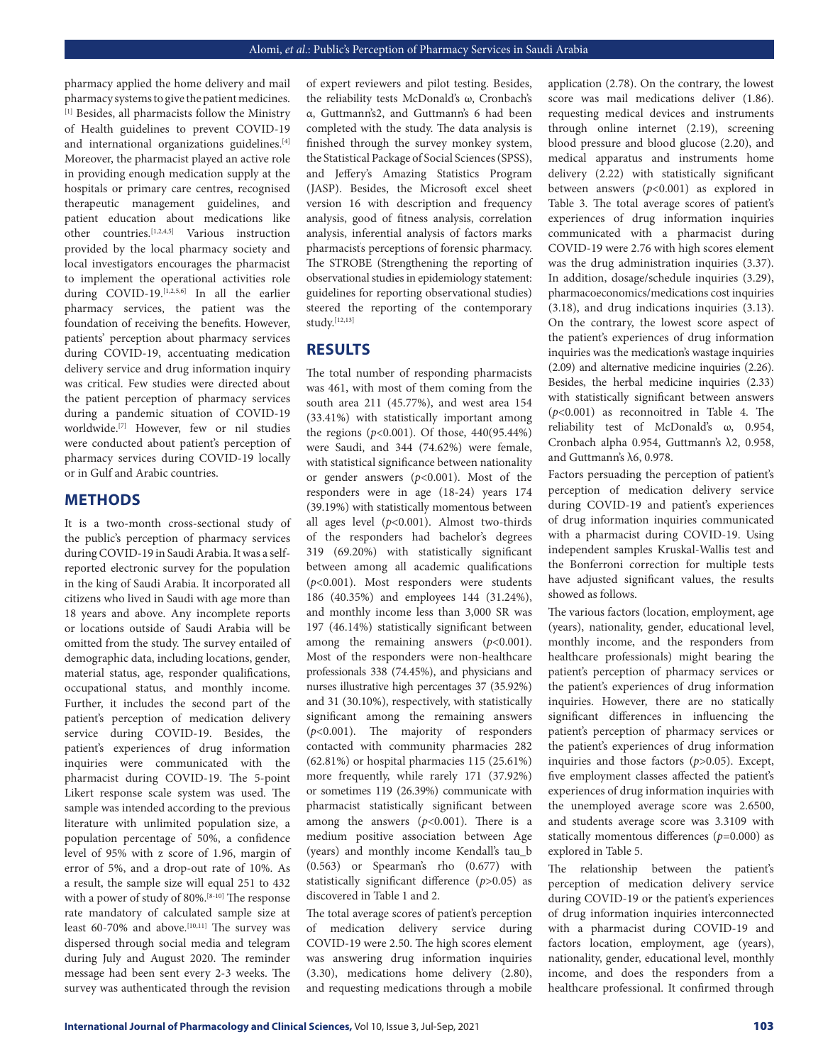pharmacy applied the home delivery and mail pharmacy systems to give the patient medicines. [1] Besides, all pharmacists follow the Ministry of Health guidelines to prevent COVID-19 and international organizations guidelines.<sup>[4]</sup> Moreover, the pharmacist played an active role in providing enough medication supply at the hospitals or primary care centres, recognised therapeutic management guidelines, and patient education about medications like other countries.[1,2,4,5] Various instruction provided by the local pharmacy society and local investigators encourages the pharmacist to implement the operational activities role during COVID-19.[1,2,5,6] In all the earlier pharmacy services, the patient was the foundation of receiving the benefits. However, patients' perception about pharmacy services during COVID-19, accentuating medication delivery service and drug information inquiry was critical. Few studies were directed about the patient perception of pharmacy services during a pandemic situation of COVID-19 worldwide.[7] However, few or nil studies were conducted about patient's perception of pharmacy services during COVID-19 locally or in Gulf and Arabic countries.

#### **METHODS**

It is a two-month cross-sectional study of the public's perception of pharmacy services during COVID-19 in Saudi Arabia. It was a selfreported electronic survey for the population in the king of Saudi Arabia. It incorporated all citizens who lived in Saudi with age more than 18 years and above. Any incomplete reports or locations outside of Saudi Arabia will be omitted from the study. The survey entailed of demographic data, including locations, gender, material status, age, responder qualifications, occupational status, and monthly income. Further, it includes the second part of the patient's perception of medication delivery service during COVID-19. Besides, the patient's experiences of drug information inquiries were communicated with the pharmacist during COVID-19. The 5-point Likert response scale system was used. The sample was intended according to the previous literature with unlimited population size, a population percentage of 50%, a confidence level of 95% with z score of 1.96, margin of error of 5%, and a drop-out rate of 10%. As a result, the sample size will equal 251 to 432 with a power of study of 80%.<sup>[8-10]</sup> The response rate mandatory of calculated sample size at least 60-70% and above.<sup>[10,11]</sup> The survey was dispersed through social media and telegram during July and August 2020. The reminder message had been sent every 2-3 weeks. The survey was authenticated through the revision

of expert reviewers and pilot testing. Besides, the reliability tests McDonald's ω, Cronbach's α, Guttmann's2, and Guttmann's 6 had been completed with the study. The data analysis is finished through the survey monkey system, the Statistical Package of Social Sciences (SPSS), and Jeffery's Amazing Statistics Program (JASP). Besides, the Microsoft excel sheet version 16 with description and frequency analysis, good of fitness analysis, correlation analysis, inferential analysis of factors marks pharmacist' s perceptions of forensic pharmacy. The STROBE (Strengthening the reporting of observational studies in epidemiology statement: guidelines for reporting observational studies) steered the reporting of the contemporary study.[12,13]

# **RESULTS**

The total number of responding pharmacists was 461, with most of them coming from the south area 211 (45.77%), and west area 154 (33.41%) with statistically important among the regions (*p*<0.001). Of those, 440(95.44%) were Saudi, and 344 (74.62%) were female, with statistical significance between nationality or gender answers (*p*<0.001). Most of the responders were in age (18-24) years 174 (39.19%) with statistically momentous between all ages level (*p*<0.001). Almost two-thirds of the responders had bachelor's degrees 319 (69.20%) with statistically significant between among all academic qualifications (*p*<0.001). Most responders were students 186 (40.35%) and employees 144 (31.24%), and monthly income less than 3,000 SR was 197 (46.14%) statistically significant between among the remaining answers  $(p<0.001)$ . Most of the responders were non-healthcare professionals 338 (74.45%), and physicians and nurses illustrative high percentages 37 (35.92%) and 31 (30.10%), respectively, with statistically significant among the remaining answers (*p*<0.001). The majority of responders contacted with community pharmacies 282 (62.81%) or hospital pharmacies 115 (25.61%) more frequently, while rarely 171 (37.92%) or sometimes 119 (26.39%) communicate with pharmacist statistically significant between among the answers  $(p<0.001)$ . There is a medium positive association between Age (years) and monthly income Kendall's tau\_b (0.563) or Spearman's rho (0.677) with statistically significant difference (*p*>0.05) as discovered in Table 1 and 2.

The total average scores of patient's perception of medication delivery service during COVID-19 were 2.50. The high scores element was answering drug information inquiries (3.30), medications home delivery (2.80), and requesting medications through a mobile

application (2.78). On the contrary, the lowest score was mail medications deliver (1.86). requesting medical devices and instruments through online internet (2.19), screening blood pressure and blood glucose (2.20), and medical apparatus and instruments home delivery (2.22) with statistically significant between answers (*p*<0.001) as explored in Table 3. The total average scores of patient's experiences of drug information inquiries communicated with a pharmacist during COVID-19 were 2.76 with high scores element was the drug administration inquiries (3.37). In addition, dosage/schedule inquiries (3.29), pharmacoeconomics/medications cost inquiries (3.18), and drug indications inquiries (3.13). On the contrary, the lowest score aspect of the patient's experiences of drug information inquiries was the medication's wastage inquiries (2.09) and alternative medicine inquiries (2.26). Besides, the herbal medicine inquiries (2.33) with statistically significant between answers (*p*<0.001) as reconnoitred in Table 4. The reliability test of McDonald's ω, 0.954, Cronbach alpha 0.954, Guttmann's λ2, 0.958, and Guttmann's λ6, 0.978.

Factors persuading the perception of patient's perception of medication delivery service during COVID-19 and patient's experiences of drug information inquiries communicated with a pharmacist during COVID-19. Using independent samples Kruskal-Wallis test and the Bonferroni correction for multiple tests have adjusted significant values, the results showed as follows.

The various factors (location, employment, age (years), nationality, gender, educational level, monthly income, and the responders from healthcare professionals) might bearing the patient's perception of pharmacy services or the patient's experiences of drug information inquiries. However, there are no statically significant differences in influencing the patient's perception of pharmacy services or the patient's experiences of drug information inquiries and those factors (*p*>0.05). Except, five employment classes affected the patient's experiences of drug information inquiries with the unemployed average score was 2.6500, and students average score was 3.3109 with statically momentous differences  $(p=0.000)$  as explored in Table 5.

The relationship between the patient's perception of medication delivery service during COVID-19 or the patient's experiences of drug information inquiries interconnected with a pharmacist during COVID-19 and factors location, employment, age (years), nationality, gender, educational level, monthly income, and does the responders from a healthcare professional. It confirmed through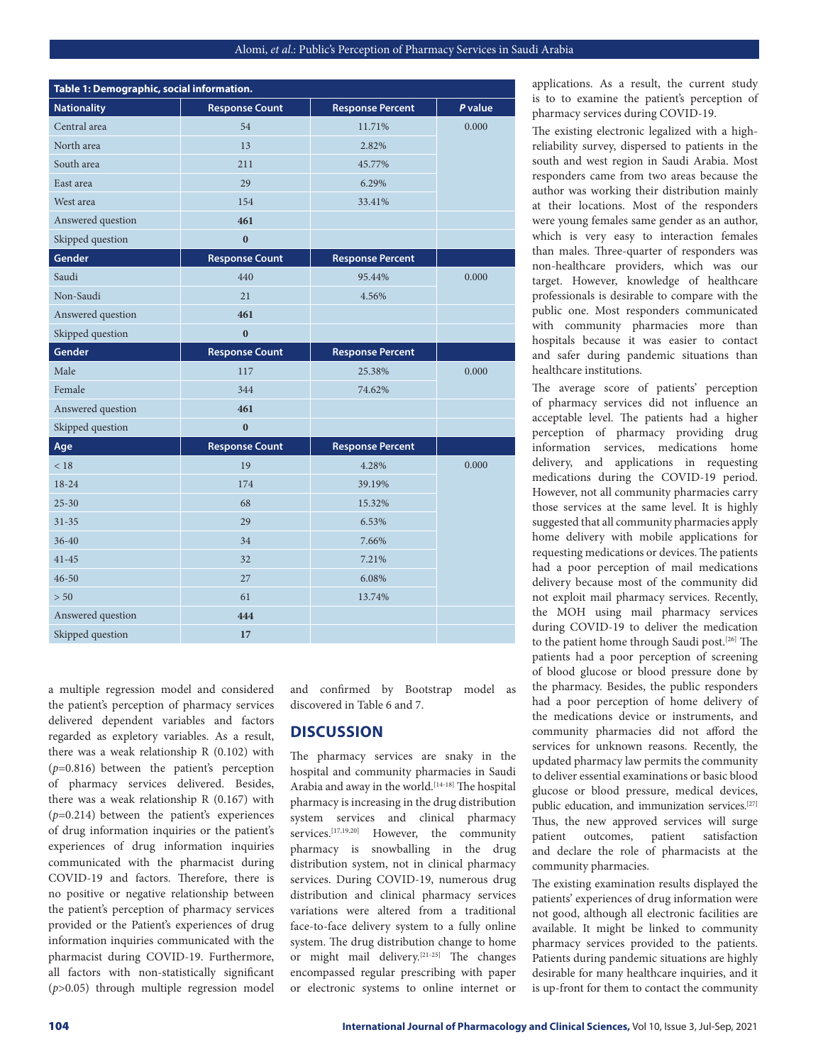| Table 1: Demographic, social information. |                       |                         |         |
|-------------------------------------------|-----------------------|-------------------------|---------|
| <b>Nationality</b>                        | <b>Response Count</b> | <b>Response Percent</b> | P value |
| Central area                              | 54                    | 11.71%                  | 0.000   |
| North area                                | 13                    | 2.82%                   |         |
| South area                                | 211                   | 45.77%                  |         |
| East area                                 | 29                    | 6.29%                   |         |
| West area                                 | 154                   | 33.41%                  |         |
| Answered question                         | 461                   |                         |         |
| Skipped question                          | $\mathbf{0}$          |                         |         |
| Gender                                    | <b>Response Count</b> | <b>Response Percent</b> |         |
| Saudi                                     | 440                   | 95.44%                  | 0.000   |
| Non-Saudi                                 | 21                    | 4.56%                   |         |
| Answered question                         | 461                   |                         |         |
| Skipped question                          | $\bf{0}$              |                         |         |
| Gender                                    | <b>Response Count</b> | <b>Response Percent</b> |         |
| Male                                      | 117                   | 25.38%                  | 0.000   |
| Female                                    | 344                   | 74.62%                  |         |
| Answered question                         | 461                   |                         |         |
| Skipped question                          | $\mathbf{0}$          |                         |         |
| Age                                       | <b>Response Count</b> | <b>Response Percent</b> |         |
| < 18                                      | 19                    | 4.28%                   | 0.000   |
| $18 - 24$                                 | 174                   | 39.19%                  |         |
| $25 - 30$                                 | 68                    | 15.32%                  |         |
| $31 - 35$                                 | 29                    | 6.53%                   |         |
| $36 - 40$                                 | 34                    | 7.66%                   |         |
| $41 - 45$                                 | 32                    | 7.21%                   |         |
| $46 - 50$                                 | 27                    | 6.08%                   |         |
| > 50                                      | 61                    | 13.74%                  |         |
| Answered question                         | 444                   |                         |         |
| Skipped question                          | 17                    |                         |         |

a multiple regression model and considered the patient's perception of pharmacy services delivered dependent variables and factors regarded as expletory variables. As a result, there was a weak relationship R (0.102) with (*p*=0.816) between the patient's perception of pharmacy services delivered. Besides, there was a weak relationship R (0.167) with (*p*=0.214) between the patient's experiences of drug information inquiries or the patient's experiences of drug information inquiries communicated with the pharmacist during COVID-19 and factors. Therefore, there is no positive or negative relationship between the patient's perception of pharmacy services provided or the Patient's experiences of drug information inquiries communicated with the pharmacist during COVID-19. Furthermore, all factors with non-statistically significant (*p*>0.05) through multiple regression model

and confirmed by Bootstrap model as discovered in Table 6 and 7.

#### **DISCUSSION**

The pharmacy services are snaky in the hospital and community pharmacies in Saudi Arabia and away in the world.<sup>[14-18]</sup> The hospital pharmacy is increasing in the drug distribution system services and clinical pharmacy services.<sup>[17,19,20]</sup> However, the community pharmacy is snowballing in the drug distribution system, not in clinical pharmacy services. During COVID-19, numerous drug distribution and clinical pharmacy services variations were altered from a traditional face-to-face delivery system to a fully online system. The drug distribution change to home or might mail delivery.[21-25] The changes encompassed regular prescribing with paper or electronic systems to online internet or

applications. As a result, the current study is to to examine the patient's perception of pharmacy services during COVID-19.

The existing electronic legalized with a highreliability survey, dispersed to patients in the south and west region in Saudi Arabia. Most responders came from two areas because the author was working their distribution mainly at their locations. Most of the responders were young females same gender as an author, which is very easy to interaction females than males. Three-quarter of responders was non-healthcare providers, which was our target. However, knowledge of healthcare professionals is desirable to compare with the public one. Most responders communicated with community pharmacies more than hospitals because it was easier to contact and safer during pandemic situations than healthcare institutions.

The average score of patients' perception of pharmacy services did not influence an acceptable level. The patients had a higher perception of pharmacy providing drug information services, medications home delivery, and applications in requesting medications during the COVID-19 period. However, not all community pharmacies carry those services at the same level. It is highly suggested that all community pharmacies apply home delivery with mobile applications for requesting medications or devices. The patients had a poor perception of mail medications delivery because most of the community did not exploit mail pharmacy services. Recently, the MOH using mail pharmacy services during COVID-19 to deliver the medication to the patient home through Saudi post.[26] The patients had a poor perception of screening of blood glucose or blood pressure done by the pharmacy. Besides, the public responders had a poor perception of home delivery of the medications device or instruments, and community pharmacies did not afford the services for unknown reasons. Recently, the updated pharmacy law permits the community to deliver essential examinations or basic blood glucose or blood pressure, medical devices, public education, and immunization services.<sup>[27]</sup> Thus, the new approved services will surge patient outcomes, patient satisfaction and declare the role of pharmacists at the community pharmacies.

The existing examination results displayed the patients' experiences of drug information were not good, although all electronic facilities are available. It might be linked to community pharmacy services provided to the patients. Patients during pandemic situations are highly desirable for many healthcare inquiries, and it is up-front for them to contact the community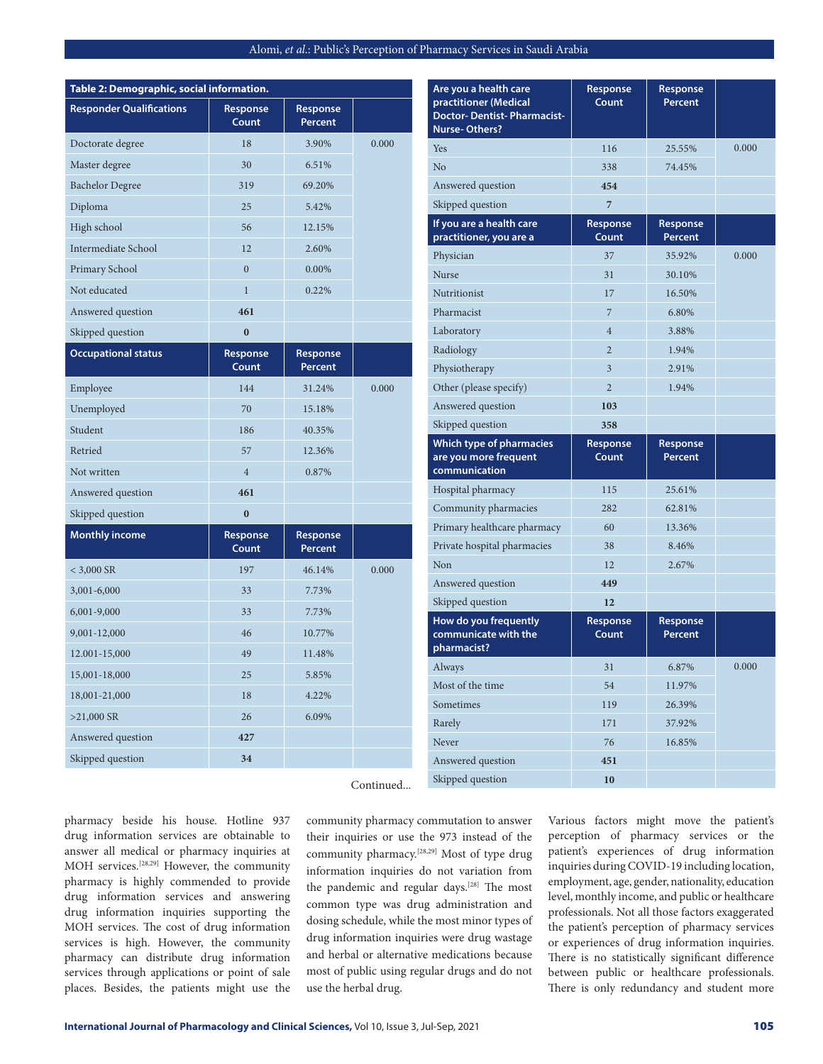| pharmacy is highly commended to provide<br>drug information services and answering<br>drug information inquiries supporting the | the pandemic and regular days. <sup>[28]</sup> The most<br>common type was drug administration and |
|---------------------------------------------------------------------------------------------------------------------------------|----------------------------------------------------------------------------------------------------|
| MOH services. The cost of drug information                                                                                      | dosing schedule, while the most minor types of                                                     |
| services is high. However, the community                                                                                        | drug information inquiries were drug wastage                                                       |
| pharmacy can distribute drug information                                                                                        | and herbal or alternative medications because                                                      |
| services through applications or point of sale                                                                                  | most of public using regular drugs and do not                                                      |
| places. Besides, the patients might use the                                                                                     | use the herbal drug.                                                                               |
|                                                                                                                                 |                                                                                                    |

Skipped question **34**

pharmacy beside his house. Hotline 937 drug information services are obtainable to answer all medical or pharmacy inquiries at MOH services.[28,29] However, the community pharmacy is highly commended to provide Continued...

community pharmacy commutation to answer their inquiries or use the 973 instead of the community pharmacy.[28,29] Most of type drug information inquiries do not variation from

| Answered question          | 461               |                            |       |
|----------------------------|-------------------|----------------------------|-------|
| Skipped question           | $\bf{0}$          |                            |       |
| <b>Occupational status</b> | Response<br>Count | Response<br>Percent        |       |
| Employee                   | 144               | 31.24%                     | 0.000 |
| Unemployed                 | 70                | 15.18%                     |       |
| Student                    | 186               | 40.35%                     |       |
| Retried                    | 57                | 12.36%                     |       |
| Not written                | $\overline{4}$    | 0.87%                      |       |
| Answered question          | 461               |                            |       |
| Skipped question           | $\bf{0}$          |                            |       |
|                            |                   |                            |       |
| <b>Monthly income</b>      | Response<br>Count | Response<br><b>Percent</b> |       |
| $<$ 3,000 SR               | 197               | 46.14%                     | 0.000 |
| 3,001-6,000                | 33                | 7.73%                      |       |
| 6,001-9,000                | 33                | 7.73%                      |       |
| 9,001-12,000               | 46                | 10.77%                     |       |
| 12.001-15,000              | 49                | 11.48%                     |       |
| 15,001-18,000              | 25                | 5.85%                      |       |
| 18,001-21,000              | 18                | 4.22%                      |       |
| $>21,000$ SR               | 26                | 6.09%                      |       |
| Answered question          | 427               |                            |       |

**Table 2: Demographic, social information. Responder Qualifications Response** 

**Count**

Doctorate degree 18 18 3.90% 0.000

Master degree 30 6.51% Bachelor Degree 319 69.20% Diploma 25 5.42% High school 56 12.15% Intermediate School 12 2.60% Primary School 0 0.00% Not educated 1 0.22%

**Response Percent**

| Are you a health care<br>practitioner (Medical<br><b>Doctor-Dentist-Pharmacist-</b><br><b>Nurse-Others?</b> | Response<br>Count | Response<br>Percent        |       |
|-------------------------------------------------------------------------------------------------------------|-------------------|----------------------------|-------|
| Yes                                                                                                         | 116               | 25.55%                     | 0.000 |
| No                                                                                                          | 338               | 74.45%                     |       |
| Answered question                                                                                           | 454               |                            |       |
| Skipped question                                                                                            | 7                 |                            |       |
| If you are a health care<br>practitioner, you are a                                                         | Response<br>Count | Response<br>Percent        |       |
| Physician                                                                                                   | 37                | 35.92%                     | 0.000 |
| <b>Nurse</b>                                                                                                | 31                | 30.10%                     |       |
| Nutritionist                                                                                                | 17                | 16.50%                     |       |
| Pharmacist                                                                                                  | 7                 | 6.80%                      |       |
| Laboratory                                                                                                  | $\overline{4}$    | 3.88%                      |       |
| Radiology                                                                                                   | $\overline{2}$    | 1.94%                      |       |
| Physiotherapy                                                                                               | 3                 | 2.91%                      |       |
| Other (please specify)                                                                                      | $\overline{2}$    | 1.94%                      |       |
| Answered question                                                                                           | 103               |                            |       |
| Skipped question                                                                                            | 358               |                            |       |
|                                                                                                             |                   |                            |       |
| <b>Which type of pharmacies</b><br>are you more frequent<br>communication                                   | Response<br>Count | Response<br><b>Percent</b> |       |
| Hospital pharmacy                                                                                           | 115               | 25.61%                     |       |
| Community pharmacies                                                                                        | 282               | 62.81%                     |       |
| Primary healthcare pharmacy                                                                                 | 60                | 13.36%                     |       |
| Private hospital pharmacies                                                                                 | 38                | 8.46%                      |       |
| Non                                                                                                         | 12                | 2.67%                      |       |
| Answered question                                                                                           | 449               |                            |       |
| Skipped question                                                                                            | 12                |                            |       |
| How do you frequently<br>communicate with the<br>pharmacist?                                                | Response<br>Count | Response<br>Percent        |       |
| Always                                                                                                      | 31                | 6.87%                      | 0.000 |
| Most of the time                                                                                            | 54                | 11.97%                     |       |
| Sometimes                                                                                                   | 119               | 26.39%                     |       |
| Rarely                                                                                                      | 171               | 37.92%                     |       |
| Never                                                                                                       | 76                | 16.85%                     |       |
| Answered question                                                                                           | 451               |                            |       |

Various factors might move the patient's perception of pharmacy services or the patient's experiences of drug information inquiries during COVID-19 including location, employment, age, gender, nationality, education level, monthly income, and public or healthcare professionals. Not all those factors exaggerated the patient's perception of pharmacy services or experiences of drug information inquiries. There is no statistically significant difference between public or healthcare professionals. There is only redundancy and student more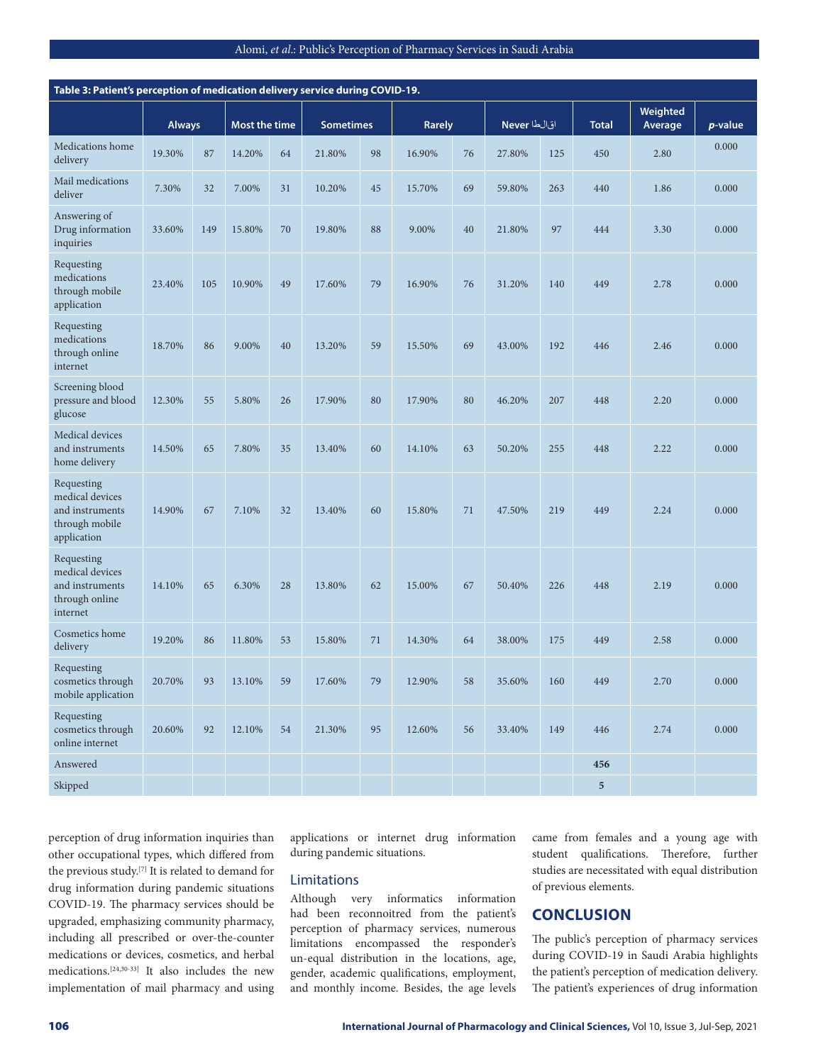| Table 3: Patient's perception of medication delivery service during COVID-19.     |               |     |               |    |                  |    |        |             |        |              |              |                            |         |
|-----------------------------------------------------------------------------------|---------------|-----|---------------|----|------------------|----|--------|-------------|--------|--------------|--------------|----------------------------|---------|
|                                                                                   | <b>Always</b> |     | Most the time |    | <b>Sometimes</b> |    |        | Rarely      |        | اقالطا Never | <b>Total</b> | <b>Weighted</b><br>Average | p-value |
| Medications home<br>delivery                                                      | 19.30%        | 87  | 14.20%        | 64 | 21.80%           | 98 | 16.90% | 76          | 27.80% | 125          | 450          | 2.80                       | 0.000   |
| Mail medications<br>deliver                                                       | 7.30%         | 32  | 7.00%         | 31 | 10.20%           | 45 | 15.70% | 69          | 59.80% | 263          | 440          | 1.86                       | 0.000   |
| Answering of<br>Drug information<br>inquiries                                     | 33.60%        | 149 | 15.80%        | 70 | 19.80%           | 88 | 9.00%  | 40          | 21.80% | 97           | 444          | 3.30                       | 0.000   |
| Requesting<br>medications<br>through mobile<br>application                        | 23.40%        | 105 | 10.90%        | 49 | 17.60%           | 79 | 16.90% | 76          | 31.20% | 140          | 449          | 2.78                       | 0.000   |
| Requesting<br>medications<br>through online<br>internet                           | 18.70%        | 86  | 9.00%         | 40 | 13.20%           | 59 | 15.50% | 69          | 43.00% | 192          | 446          | 2.46                       | 0.000   |
| Screening blood<br>pressure and blood<br>glucose                                  | 12.30%        | 55  | 5.80%         | 26 | 17.90%           | 80 | 17.90% | 80          | 46.20% | 207          | 448          | 2.20                       | 0.000   |
| Medical devices<br>and instruments<br>home delivery                               | 14.50%        | 65  | 7.80%         | 35 | 13.40%           | 60 | 14.10% | 63          | 50.20% | 255          | 448          | 2.22                       | 0.000   |
| Requesting<br>medical devices<br>and instruments<br>through mobile<br>application | 14.90%        | 67  | 7.10%         | 32 | 13.40%           | 60 | 15.80% | 71          | 47.50% | 219          | 449          | 2.24                       | 0.000   |
| Requesting<br>medical devices<br>and instruments<br>through online<br>internet    | 14.10%        | 65  | 6.30%         | 28 | 13.80%           | 62 | 15.00% | 67          | 50.40% | 226          | 448          | 2.19                       | 0.000   |
| Cosmetics home<br>delivery                                                        | 19.20%        | 86  | 11.80%        | 53 | 15.80%           | 71 | 14.30% | 64          | 38.00% | 175          | 449          | 2.58                       | 0.000   |
| Requesting<br>cosmetics through<br>mobile application                             | 20.70%        | 93  | $13.10\%$     | 59 | 17.60%           | 79 | 12.90% | $^{\rm 58}$ | 35.60% | 160          | 449          | 2.70                       | 0.000   |
| Requesting<br>cosmetics through<br>online internet                                | 20.60%        | 92  | 12.10%        | 54 | 21.30%           | 95 | 12.60% | 56          | 33.40% | 149          | 446          | 2.74                       | 0.000   |
| Answered                                                                          |               |     |               |    |                  |    |        |             |        |              | 456          |                            |         |
| Skipped                                                                           |               |     |               |    |                  |    |        |             |        |              | $\sqrt{5}$   |                            |         |

perception of drug information inquiries than other occupational types, which differed from the previous study.[7] It is related to demand for drug information during pandemic situations COVID-19. The pharmacy services should be upgraded, emphasizing community pharmacy, including all prescribed or over-the-counter medications or devices, cosmetics, and herbal medications.[24,30-33] It also includes the new implementation of mail pharmacy and using applications or internet drug information during pandemic situations.

## Limitations

Although very informatics information had been reconnoitred from the patient's perception of pharmacy services, numerous limitations encompassed the responder's un-equal distribution in the locations, age, gender, academic qualifications, employment, and monthly income. Besides, the age levels

came from females and a young age with student qualifications. Therefore, further studies are necessitated with equal distribution of previous elements.

# **CONCLUSION**

The public's perception of pharmacy services during COVID-19 in Saudi Arabia highlights the patient's perception of medication delivery. The patient's experiences of drug information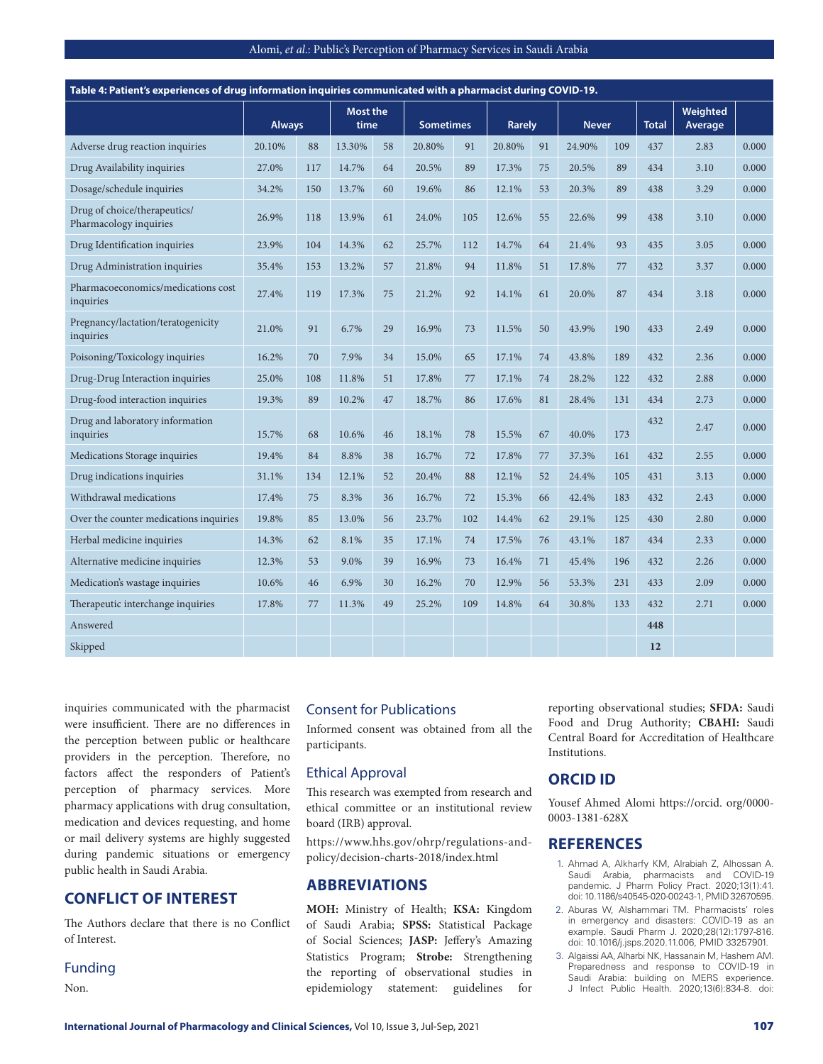| Alomi, et al.: Public's Perception of Pharmacy Services in Saudi Arabia |  |  |
|-------------------------------------------------------------------------|--|--|
|                                                                         |  |  |

| Table 4: Patient's experiences of drug information inquiries communicated with a pharmacist during COVID-19. |               |     |                         |    |                  |     |               |    |              |     |              |                     |       |
|--------------------------------------------------------------------------------------------------------------|---------------|-----|-------------------------|----|------------------|-----|---------------|----|--------------|-----|--------------|---------------------|-------|
|                                                                                                              | <b>Always</b> |     | <b>Most the</b><br>time |    | <b>Sometimes</b> |     | <b>Rarely</b> |    | <b>Never</b> |     | <b>Total</b> | Weighted<br>Average |       |
| Adverse drug reaction inquiries                                                                              | 20.10%        | 88  | 13.30%                  | 58 | 20.80%           | 91  | 20.80%        | 91 | 24.90%       | 109 | 437          | 2.83                | 0.000 |
| Drug Availability inquiries                                                                                  | 27.0%         | 117 | 14.7%                   | 64 | 20.5%            | 89  | 17.3%         | 75 | 20.5%        | 89  | 434          | 3.10                | 0.000 |
| Dosage/schedule inquiries                                                                                    | 34.2%         | 150 | 13.7%                   | 60 | 19.6%            | 86  | 12.1%         | 53 | 20.3%        | 89  | 438          | 3.29                | 0.000 |
| Drug of choice/therapeutics/<br>Pharmacology inquiries                                                       | 26.9%         | 118 | 13.9%                   | 61 | 24.0%            | 105 | 12.6%         | 55 | 22.6%        | 99  | 438          | 3.10                | 0.000 |
| Drug Identification inquiries                                                                                | 23.9%         | 104 | 14.3%                   | 62 | 25.7%            | 112 | 14.7%         | 64 | 21.4%        | 93  | 435          | 3.05                | 0.000 |
| Drug Administration inquiries                                                                                | 35.4%         | 153 | 13.2%                   | 57 | 21.8%            | 94  | 11.8%         | 51 | 17.8%        | 77  | 432          | 3.37                | 0.000 |
| Pharmacoeconomics/medications cost<br>inquiries                                                              | 27.4%         | 119 | 17.3%                   | 75 | 21.2%            | 92  | 14.1%         | 61 | 20.0%        | 87  | 434          | 3.18                | 0.000 |
| Pregnancy/lactation/teratogenicity<br>inquiries                                                              | 21.0%         | 91  | 6.7%                    | 29 | 16.9%            | 73  | 11.5%         | 50 | 43.9%        | 190 | 433          | 2.49                | 0.000 |
| Poisoning/Toxicology inquiries                                                                               | 16.2%         | 70  | 7.9%                    | 34 | 15.0%            | 65  | 17.1%         | 74 | 43.8%        | 189 | 432          | 2.36                | 0.000 |
| Drug-Drug Interaction inquiries                                                                              | 25.0%         | 108 | 11.8%                   | 51 | 17.8%            | 77  | 17.1%         | 74 | 28.2%        | 122 | 432          | 2.88                | 0.000 |
| Drug-food interaction inquiries                                                                              | 19.3%         | 89  | 10.2%                   | 47 | 18.7%            | 86  | 17.6%         | 81 | 28.4%        | 131 | 434          | 2.73                | 0.000 |
| Drug and laboratory information<br>inquiries                                                                 | 15.7%         | 68  | 10.6%                   | 46 | 18.1%            | 78  | 15.5%         | 67 | 40.0%        | 173 | 432          | 2.47                | 0.000 |
| Medications Storage inquiries                                                                                | 19.4%         | 84  | 8.8%                    | 38 | 16.7%            | 72  | 17.8%         | 77 | 37.3%        | 161 | 432          | 2.55                | 0.000 |
| Drug indications inquiries                                                                                   | 31.1%         | 134 | 12.1%                   | 52 | 20.4%            | 88  | 12.1%         | 52 | 24.4%        | 105 | 431          | 3.13                | 0.000 |
| Withdrawal medications                                                                                       | 17.4%         | 75  | 8.3%                    | 36 | 16.7%            | 72  | 15.3%         | 66 | 42.4%        | 183 | 432          | 2.43                | 0.000 |
| Over the counter medications inquiries                                                                       | 19.8%         | 85  | 13.0%                   | 56 | 23.7%            | 102 | 14.4%         | 62 | 29.1%        | 125 | 430          | 2.80                | 0.000 |
| Herbal medicine inquiries                                                                                    | 14.3%         | 62  | 8.1%                    | 35 | 17.1%            | 74  | 17.5%         | 76 | 43.1%        | 187 | 434          | 2.33                | 0.000 |
| Alternative medicine inquiries                                                                               | 12.3%         | 53  | 9.0%                    | 39 | 16.9%            | 73  | 16.4%         | 71 | 45.4%        | 196 | 432          | 2.26                | 0.000 |
| Medication's wastage inquiries                                                                               | 10.6%         | 46  | 6.9%                    | 30 | 16.2%            | 70  | 12.9%         | 56 | 53.3%        | 231 | 433          | 2.09                | 0.000 |
| Therapeutic interchange inquiries                                                                            | 17.8%         | 77  | 11.3%                   | 49 | 25.2%            | 109 | 14.8%         | 64 | 30.8%        | 133 | 432          | 2.71                | 0.000 |
| Answered                                                                                                     |               |     |                         |    |                  |     |               |    |              |     | 448          |                     |       |
| Skipped                                                                                                      |               |     |                         |    |                  |     |               |    |              |     | 12           |                     |       |

inquiries communicated with the pharmacist were insufficient. There are no differences in the perception between public or healthcare providers in the perception. Therefore, no factors affect the responders of Patient's perception of pharmacy services. More pharmacy applications with drug consultation, medication and devices requesting, and home or mail delivery systems are highly suggested during pandemic situations or emergency public health in Saudi Arabia.

# **CONFLICT OF INTEREST**

The Authors declare that there is no Conflict of Interest.

#### Funding

Non.

#### Consent for Publications

Informed consent was obtained from all the participants.

#### Ethical Approval

This research was exempted from research and ethical committee or an institutional review board (IRB) approval.

https://www.hhs.gov/ohrp/regulations-andpolicy/decision-charts-2018/index.html

# **ABBREVIATIONS**

**MOH:** Ministry of Health; **KSA:** Kingdom of Saudi Arabia; **SPSS:** Statistical Package of Social Sciences; **JASP:** Jeffery's Amazing Statistics Program; **Strobe:** Strengthening the reporting of observational studies in epidemiology statement: guidelines for

reporting observational studies; **SFDA:** Saudi Food and Drug Authority; **CBAHI:** Saudi Central Board for Accreditation of Healthcare Institutions.

## **ORCID ID**

Yousef Ahmed Alomi https://orcid. org/0000- 0003-1381-628X

#### **REFERENCES**

- 1. Ahmad A, Alkharfy KM, Alrabiah Z, Alhossan A. Saudi Arabia, pharmacists and COVID-19 pandemic. J Pharm Policy Pract. 2020;13(1):41. doi: 10.1186/s40545-020-00243-1, PMID 32670595.
- 2. Aburas W, Alshammari TM. Pharmacists' roles in emergency and disasters: COVID-19 as an example. Saudi Pharm J. 2020;28(12):1797-816. doi: 10.1016/j.jsps.2020.11.006, PMID 33257901.
- 3. Algaissi AA, Alharbi NK, Hassanain M, Hashem AM. Preparedness and response to COVID-19 in Saudi Arabia: building on MERS experience. J Infect Public Health. 2020;13(6):834-8. doi: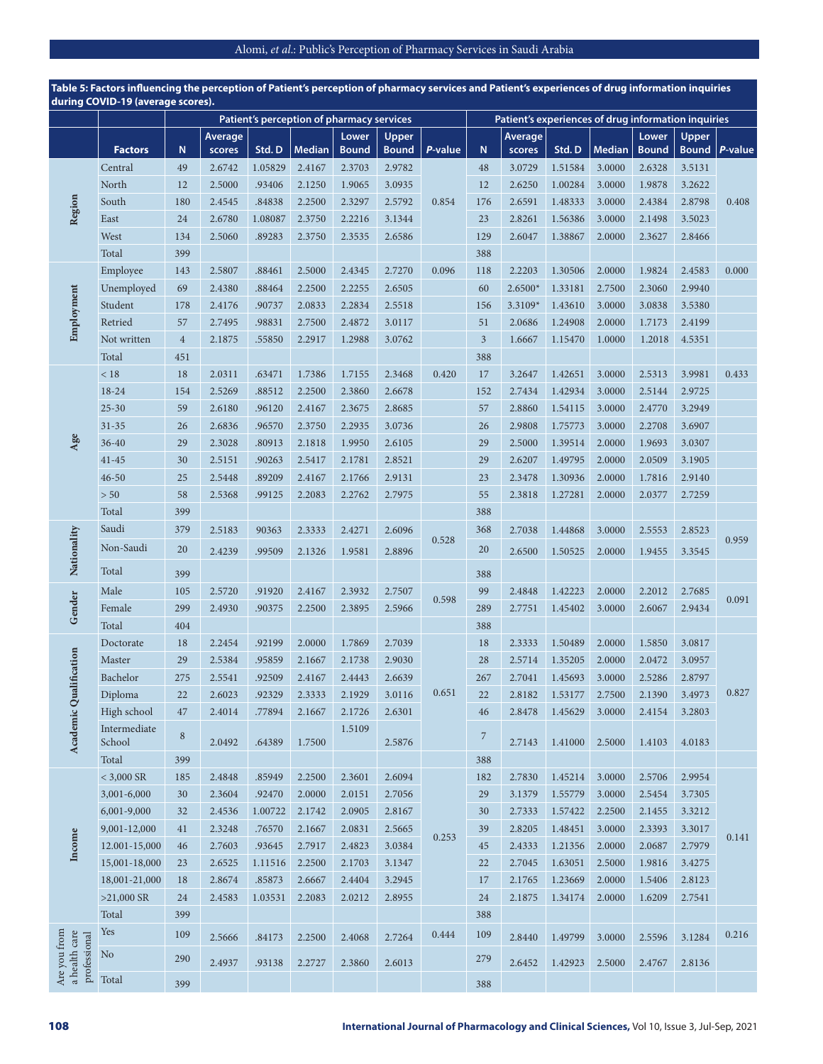| during COVID-19 (average scores).             |                        |            |                          |         |                                           |                       |                       |         |                | Patient's experiences of drug information inquiries |         |               |                       |                       |         |
|-----------------------------------------------|------------------------|------------|--------------------------|---------|-------------------------------------------|-----------------------|-----------------------|---------|----------------|-----------------------------------------------------|---------|---------------|-----------------------|-----------------------|---------|
|                                               |                        |            |                          |         | Patient's perception of pharmacy services |                       |                       |         |                |                                                     |         |               |                       |                       |         |
|                                               | <b>Factors</b>         | ${\bf N}$  | <b>Average</b><br>scores | Std.D   | <b>Median</b>                             | Lower<br><b>Bound</b> | Upper<br><b>Bound</b> | P-value | ${\bf N}$      | Average<br>scores                                   | Std.D   | <b>Median</b> | Lower<br><b>Bound</b> | Upper<br><b>Bound</b> | P-value |
|                                               | Central                | 49         | 2.6742                   | 1.05829 | 2.4167                                    | 2.3703                | 2.9782                |         | 48             | 3.0729                                              | 1.51584 | 3.0000        | 2.6328                | 3.5131                |         |
|                                               | North                  | 12         | 2.5000                   | .93406  | 2.1250                                    | 1.9065                | 3.0935                |         | 12             | 2.6250                                              | 1.00284 | 3.0000        | 1.9878                | 3.2622                |         |
| Region                                        | South                  | 180        | 2.4545                   | .84838  | 2.2500                                    | 2.3297                | 2.5792                | 0.854   | 176            | 2.6591                                              | 1.48333 | 3.0000        | 2.4384                | 2.8798                | 0.408   |
|                                               | East                   | 24         | 2.6780                   | 1.08087 | 2.3750                                    | 2.2216                | 3.1344                |         | 23             | 2.8261                                              | 1.56386 | 3.0000        | 2.1498                | 3.5023                |         |
|                                               | West                   | 134        | 2.5060                   | .89283  | 2.3750                                    | 2.3535                | 2.6586                |         | 129            | 2.6047                                              | 1.38867 | 2.0000        | 2.3627                | 2.8466                |         |
|                                               | Total                  | 399        |                          |         |                                           |                       |                       |         | 388            |                                                     |         |               |                       |                       |         |
|                                               | Employee               | 143        | 2.5807                   | .88461  | 2.5000                                    | 2.4345                | 2.7270                | 0.096   | 118            | 2.2203                                              | 1.30506 | 2.0000        | 1.9824                | 2.4583                | 0.000   |
|                                               | Unemployed             | 69         | 2.4380                   | .88464  | 2.2500                                    | 2.2255                | 2.6505                |         | 60             | 2.6500*                                             | 1.33181 | 2.7500        | 2.3060                | 2.9940                |         |
| Employment                                    | Student                | 178        | 2.4176                   | .90737  | 2.0833                                    | 2.2834                | 2.5518                |         | 156            | 3.3109*                                             | 1.43610 | 3.0000        | 3.0838                | 3.5380                |         |
|                                               | Retried                | 57         | 2.7495                   | .98831  | 2.7500                                    | 2.4872                | 3.0117                |         | 51             | 2.0686                                              | 1.24908 | 2.0000        | 1.7173                | 2.4199                |         |
|                                               | Not written            | $\sqrt{4}$ | 2.1875                   | .55850  | 2.2917                                    | 1.2988                | 3.0762                |         | $\overline{3}$ | 1.6667                                              | 1.15470 | 1.0000        | 1.2018                | 4.5351                |         |
|                                               | Total                  | 451        |                          |         |                                           |                       |                       |         | 388            |                                                     |         |               |                       |                       |         |
|                                               | $<18$                  | 18         | 2.0311                   | .63471  | 1.7386                                    | 1.7155                | 2.3468                | 0.420   | 17             | 3.2647                                              | 1.42651 | 3.0000        | 2.5313                | 3.9981                | 0.433   |
|                                               | 18-24                  | 154        | 2.5269                   | .88512  | 2.2500                                    | 2.3860                | 2.6678                |         | 152            | 2.7434                                              | 1.42934 | 3.0000        | 2.5144                | 2.9725                |         |
|                                               | $25 - 30$              | 59         | 2.6180                   | .96120  | 2.4167                                    | 2.3675                | 2.8685                |         | 57             | 2.8860                                              | 1.54115 | 3.0000        | 2.4770                | 3.2949                |         |
|                                               | $31 - 35$              | 26         | 2.6836                   | .96570  | 2.3750                                    | 2.2935                | 3.0736                |         | 26             | 2.9808                                              | 1.75773 | 3.0000        | 2.2708                | 3.6907                |         |
| Age                                           | $36 - 40$              | 29         | 2.3028                   | .80913  | 2.1818                                    | 1.9950                | 2.6105                |         | 29             | 2.5000                                              | 1.39514 | 2.0000        | 1.9693                | 3.0307                |         |
|                                               | $41 - 45$              | 30         | 2.5151                   | .90263  | 2.5417                                    | 2.1781                | 2.8521                |         | 29             | 2.6207                                              | 1.49795 | 2.0000        | 2.0509                | 3.1905                |         |
|                                               | $46 - 50$              | 25         | 2.5448                   | .89209  | 2.4167                                    | 2.1766                | 2.9131                |         | 23             | 2.3478                                              | 1.30936 | 2.0000        | 1.7816                | 2.9140                |         |
|                                               | > 50                   | 58         | 2.5368                   | .99125  | 2.2083                                    | 2.2762                | 2.7975                |         | 55             | 2.3818                                              | 1.27281 | 2.0000        | 2.0377                | 2.7259                |         |
|                                               | Total                  | 399        |                          |         |                                           |                       |                       |         | 388            |                                                     |         |               |                       |                       |         |
|                                               | Saudi                  | 379        | 2.5183                   | 90363   | 2.3333                                    | 2.4271                | 2.6096                |         | 368            | 2.7038                                              | 1.44868 | 3.0000        | 2.5553                | 2.8523                |         |
|                                               | Non-Saudi              | 20         | 2.4239                   | .99509  | 2.1326                                    | 1.9581                | 2.8896                | 0.528   | 20             | 2.6500                                              | 1.50525 | 2.0000        | 1.9455                | 3.3545                | 0.959   |
| Nationality                                   | Total                  | 399        |                          |         |                                           |                       |                       |         | 388            |                                                     |         |               |                       |                       |         |
|                                               | Male                   | 105        | 2.5720                   | .91920  | 2.4167                                    | 2.3932                | 2.7507                |         | 99             | 2.4848                                              | 1.42223 | 2.0000        | 2.2012                | 2.7685                |         |
| Gender                                        | Female                 | 299        | 2.4930                   | .90375  | 2.2500                                    | 2.3895                | 2.5966                | 0.598   | 289            | 2.7751                                              | 1.45402 | 3.0000        | 2.6067                | 2.9434                | 0.091   |
|                                               | Total                  | 404        |                          |         |                                           |                       |                       |         | 388            |                                                     |         |               |                       |                       |         |
|                                               | Doctorate              | 18         | 2.2454                   | .92199  | 2.0000                                    | 1.7869                | 2.7039                |         | 18             | 2.3333                                              | 1.50489 | 2.0000        | 1.5850                | 3.0817                |         |
|                                               | Master                 | 29         | 2.5384                   | .95859  | 2.1667                                    | 2.1738                | 2.9030                |         | 28             | 2.5714                                              | 1.35205 | 2.0000        | 2.0472                | 3.0957                |         |
|                                               | Bachelor               | 275        | 2.5541                   | .92509  | 2.4167                                    | 2.4443                | 2.6639                |         | 267            | 2.7041                                              | 1.45693 | 3.0000        | 2.5286                | 2.8797                |         |
|                                               | Diploma                | 22         | 2.6023                   | .92329  | 2.3333                                    | 2.1929                | 3.0116                | 0.651   | 22             | 2.8182                                              | 1.53177 | 2.7500        | 2.1390                | 3.4973                | 0.827   |
|                                               | High school            | 47         | 2.4014                   | .77894  | 2.1667                                    | 2.1726                | 2.6301                |         | 46             | 2.8478                                              | 1.45629 | 3.0000        | 2.4154                | 3.2803                |         |
| Academic Qualification                        | Intermediate<br>School | $\,8\,$    | 2.0492                   | .64389  | 1.7500                                    | 1.5109                | 2.5876                |         | $\overline{7}$ | 2.7143                                              | 1.41000 | 2.5000        | 1.4103                | 4.0183                |         |
|                                               | Total                  | 399        |                          |         |                                           |                       |                       |         | 388            |                                                     |         |               |                       |                       |         |
|                                               | $<$ 3,000 SR           | 185        | 2.4848                   | .85949  | 2.2500                                    | 2.3601                | 2.6094                |         | 182            | 2.7830                                              | 1.45214 | 3.0000        | 2.5706                | 2.9954                |         |
|                                               | 3,001-6,000            | 30         | 2.3604                   | .92470  | 2.0000                                    | 2.0151                | 2.7056                |         | 29             | 3.1379                                              | 1.55779 | 3.0000        | 2.5454                | 3.7305                |         |
|                                               | 6,001-9,000            | 32         | 2.4536                   | 1.00722 | 2.1742                                    | 2.0905                | 2.8167                |         | 30             | 2.7333                                              | 1.57422 | 2.2500        | 2.1455                | 3.3212                |         |
|                                               | 9,001-12,000           | 41         | 2.3248                   | .76570  | 2.1667                                    | 2.0831                | 2.5665                |         | 39             | 2.8205                                              | 1.48451 | 3.0000        | 2.3393                | 3.3017                |         |
| Income                                        | 12.001-15,000          | 46         | 2.7603                   | .93645  | 2.7917                                    | 2.4823                | 3.0384                | 0.253   | 45             | 2.4333                                              | 1.21356 | 2.0000        | 2.0687                | 2.7979                | 0.141   |
|                                               | 15,001-18,000          | 23         | 2.6525                   | 1.11516 | 2.2500                                    | 2.1703                | 3.1347                |         | 22             | 2.7045                                              | 1.63051 | 2.5000        | 1.9816                | 3.4275                |         |
|                                               | 18,001-21,000          | 18         | 2.8674                   | .85873  | 2.6667                                    | 2.4404                | 3.2945                |         | 17             | 2.1765                                              | 1.23669 | 2.0000        | 1.5406                | 2.8123                |         |
|                                               | $>21,000$ SR           | 24         | 2.4583                   | 1.03531 | 2.2083                                    | 2.0212                | 2.8955                |         | 24             | 2.1875                                              | 1.34174 | 2.0000        | 1.6209                | 2.7541                |         |
|                                               | Total                  | 399        |                          |         |                                           |                       |                       |         | 388            |                                                     |         |               |                       |                       |         |
|                                               | Yes                    | 109        | 2.5666                   | .84173  | 2.2500                                    | 2.4068                | 2.7264                | 0.444   | 109            | 2.8440                                              | 1.49799 | 3.0000        | 2.5596                | 3.1284                | 0.216   |
| a health care<br>professional<br>Are you from | N <sub>o</sub>         | 290        | 2.4937                   | .93138  | 2.2727                                    | 2.3860                | 2.6013                |         | 279            | 2.6452                                              | 1.42923 | 2.5000        | 2.4767                | 2.8136                |         |
|                                               | Total                  | 399        |                          |         |                                           |                       |                       |         | 388            |                                                     |         |               |                       |                       |         |

**Table 5: Factors influencing the perception of Patient's perception of pharmacy services and Patient's experiences of drug information inquiries during COVID-19 (average scores).**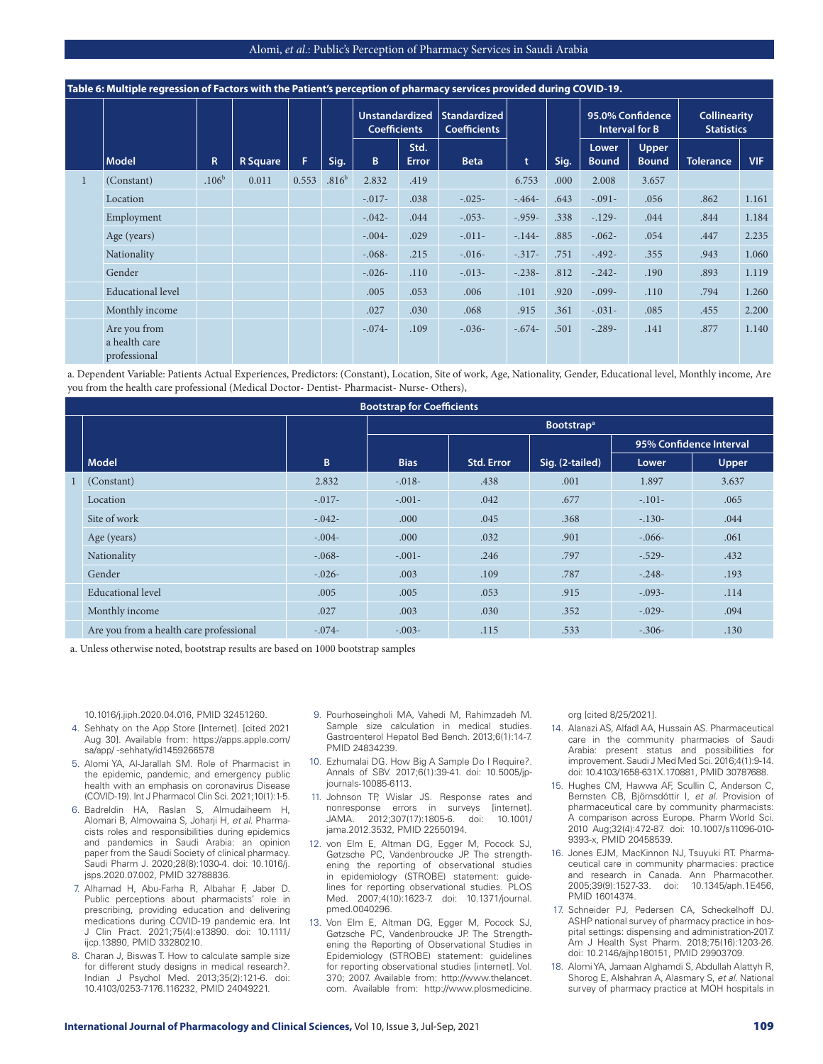|  | Table 6: Multiple regression of Factors with the Patient's perception of pharmacy services provided during COVID-19. |                   |                 |       |                   |                                              |                      |                                     |                |      |                                           |                       |                                          |            |
|--|----------------------------------------------------------------------------------------------------------------------|-------------------|-----------------|-------|-------------------|----------------------------------------------|----------------------|-------------------------------------|----------------|------|-------------------------------------------|-----------------------|------------------------------------------|------------|
|  |                                                                                                                      |                   |                 |       |                   | <b>Unstandardized</b><br><b>Coefficients</b> |                      | Standardized<br><b>Coefficients</b> |                |      | 95.0% Confidence<br><b>Interval for B</b> |                       | <b>Collinearity</b><br><b>Statistics</b> |            |
|  | <b>Model</b>                                                                                                         | R                 | <b>R</b> Square | F     | Sig.              | B.                                           | Std.<br><b>Error</b> | <b>Beta</b>                         | t              | Sig. | Lower<br><b>Bound</b>                     | Upper<br><b>Bound</b> | <b>Tolerance</b>                         | <b>VIF</b> |
|  | (Constant)                                                                                                           | .106 <sup>b</sup> | 0.011           | 0.553 | .816 <sup>b</sup> | 2.832                                        | .419                 |                                     | 6.753          | .000 | 2.008                                     | 3.657                 |                                          |            |
|  | Location                                                                                                             |                   |                 |       |                   | $-0.017-$                                    | .038                 | $-.025-$                            | $-0.464-0.464$ | .643 | $-.091-$                                  | .056                  | .862                                     | 1.161      |
|  | Employment                                                                                                           |                   |                 |       |                   | $-.042-$                                     | .044                 | $-.053-$                            | $-0.959-$      | .338 | $-129-$                                   | .044                  | .844                                     | 1.184      |
|  | Age (years)                                                                                                          |                   |                 |       |                   | $-.004-$                                     | .029                 | $-.011-$                            | $-144-$        | .885 | $-.062-$                                  | .054                  | .447                                     | 2.235      |
|  | Nationality                                                                                                          |                   |                 |       |                   | $-.068-$                                     | .215                 | $-0.016-$                           | $-317-$        | .751 | $-0.492 -$                                | .355                  | .943                                     | 1.060      |
|  | Gender                                                                                                               |                   |                 |       |                   | $-.026-$                                     | .110                 | $-.013-$                            | $-.238-$       | .812 | $-.242-$                                  | .190                  | .893                                     | 1.119      |
|  | Educational level                                                                                                    |                   |                 |       |                   | .005                                         | .053                 | .006                                | .101           | .920 | $-.099-$                                  | .110                  | .794                                     | 1.260      |
|  | Monthly income                                                                                                       |                   |                 |       |                   | .027                                         | .030                 | .068                                | .915           | .361 | $-.031-$                                  | .085                  | .455                                     | 2.200      |
|  | Are you from<br>a health care<br>professional                                                                        |                   |                 |       |                   | $-.074-$                                     | .109                 | $-.036-$                            | $-.674-$       | .501 | $-.289-$                                  | .141                  | .877                                     | 1.140      |

a. Dependent Variable: Patients Actual Experiences, Predictors: (Constant), Location, Site of work, Age, Nationality, Gender, Educational level, Monthly income, Are you from the health care professional (Medical Doctor- Dentist- Pharmacist- Nurse- Others),

|                                         |          | <b>Bootstrap for Coefficients</b> |                   |                               |          |                         |
|-----------------------------------------|----------|-----------------------------------|-------------------|-------------------------------|----------|-------------------------|
|                                         |          |                                   |                   | <b>Bootstrap</b> <sup>a</sup> |          |                         |
|                                         |          |                                   |                   |                               |          | 95% Confidence Interval |
| <b>Model</b>                            | B        | <b>Bias</b>                       | <b>Std. Error</b> | Sig. (2-tailed)               | Lower    | <b>Upper</b>            |
| (Constant)                              | 2.832    | $-.018-$                          | .438              | .001                          | 1.897    | 3.637                   |
| Location                                | $-.017-$ | $-.001-$                          | .042              | .677                          | $-.101-$ | .065                    |
| Site of work                            | $-.042-$ | .000                              | .045              | .368                          | $-.130-$ | .044                    |
| Age (years)                             | $-.004-$ | .000                              | .032              | .901                          | $-.066-$ | .061                    |
| Nationality                             | $-.068-$ | $-.001-$                          | .246              | .797                          | $-.529-$ | .432                    |
| Gender                                  | $-.026-$ | .003                              | .109              | .787                          | $-.248-$ | .193                    |
| Educational level                       | .005     | .005                              | .053              | .915                          | $-.093-$ | .114                    |
| Monthly income                          | .027     | .003                              | .030              | .352                          | $-.029-$ | .094                    |
| Are you from a health care professional | $-.074-$ | $-.003-$                          | .115              | .533                          | $-.306-$ | .130                    |

a. Unless otherwise noted, bootstrap results are based on 1000 bootstrap samples

10.1016/j.jiph.2020.04.016, PMID 32451260.

- 4. Sehhaty on the App Store [Internet]. [cited 2021 Aug 30]. Available from: https://apps.apple.com/ sa/app/ -sehhaty/id1459266578
- 5. Alomi YA, Al-Jarallah SM. Role of Pharmacist in the epidemic, pandemic, and emergency public health with an emphasis on coronavirus Disease (COVID-19). Int J Pharmacol Clin Sci. 2021;10(1):1-5.
- 6. Badreldin HA, Raslan S, Almudaiheem H, Alomari B, Almowaina S, Joharji H, *et al*. Pharmacists roles and responsibilities during epidemics and pandemics in Saudi Arabia: an opinion paper from the Saudi Society of clinical pharmacy. Saudi Pharm J. 2020;28(8):1030-4. doi: 10.1016/j. jsps.2020.07.002, PMID 32788836.
- 7. Alhamad H, Abu-Farha R, Albahar F, Jaber D. Public perceptions about pharmacists' role in prescribing, providing education and delivering medications during COVID-19 pandemic era. Int J Clin Pract. 2021;75(4):e13890. doi: 10.1111/ ijcp.13890, PMID 33280210.
- 8. Charan J, Biswas T. How to calculate sample size for different study designs in medical research?. Indian J Psychol Med. 2013;35(2):121-6. doi: 10.4103/0253-7176.116232, PMID 24049221.
- 9. Pourhoseingholi MA, Vahedi M, Rahimzadeh M. Sample size calculation in medical studies. Gastroenterol Hepatol Bed Bench. 2013;6(1):14-7. PMID 24834239.
- 10. Ezhumalai DG. How Big A Sample Do I Require?. Annals of SBV. 2017;6(1):39-41. doi: 10.5005/jpjournals-10085-6113.
- 11. Johnson TP, Wislar JS. Response rates and nonresponse errors in surveys [internet].<br>JAMA. 2012:307(17):1805-6. doi: 10.1001/ 2012;307(17):1805-6. jama.2012.3532, PMID 22550194.
- 12. von Elm E, Altman DG, Egger M, Pocock SJ, Gøtzsche PC, Vandenbroucke JP. The strengthening the reporting of observational studies in epidemiology (STROBE) statement: guidelines for reporting observational studies. PLOS Med. 2007;4(10):1623-7. doi: 10.1371/journal. pmed.0040296.
- 13. Von Elm E, Altman DG, Egger M, Pocock SJ, Gøtzsche PC, Vandenbroucke JP. The Strengthening the Reporting of Observational Studies in Epidemiology (STROBE) statement: guidelines for reporting observational studies [internet]. Vol. 370; 2007. Available from: http://www.thelancet. com. Available from: http://www.plosmedicine.

org [cited 8/25/2021].

- 14. Alanazi AS, Alfadl AA, Hussain AS. Pharmaceutical care in the community pharmacies of Saudi Arabia: present status and possibilities for improvement. Saudi J Med Med Sci. 2016;4(1):9-14. doi: 10.4103/1658-631X.170881, PMID 30787688.
- 15. Hughes CM, Hawwa AF, Scullin C, Anderson C, Bernsten CB, Björnsdóttir I, *et al.* Provision of pharmaceutical care by community pharmacists: A comparison across Europe. Pharm World Sci. 2010 Aug;32(4):472-87. doi: 10.1007/s11096-010- 9393-x, PMID 20458539.
- 16. Jones EJM, MacKinnon NJ, Tsuyuki RT. Pharmaceutical care in community pharmacies: practice and research in Canada. Ann Pharmacother.<br>2005;39(9):1527-33. doi: 10.1345/aph.1E456, 2005;39(9):1527-33. PMID 16014374.
- 17. Schneider PJ, Pedersen CA, Scheckelhoff DJ. ASHP national survey of pharmacy practice in hospital settings: dispensing and administration-2017. Am J Health Syst Pharm. 2018;75(16):1203-26. doi: 10.2146/ajhp180151, PMID 29903709.
- 18. Alomi YA, Jamaan Alghamdi S, Abdullah Alattyh R, Shorog E, Alshahran A, Alasmary S, *et al*. National survey of pharmacy practice at MOH hospitals in